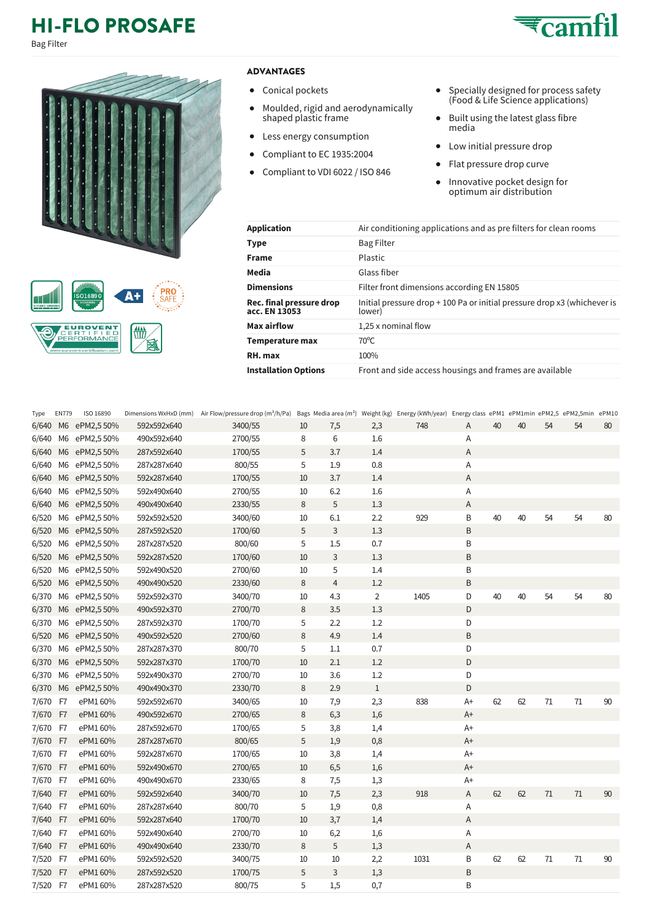## **HI-FLO PROSAFE**

Bag Filter



## **EUROVENT**<br>**OERT FIED**<br>PERFORMANCE  $\overline{\bigcirc}$ **THE** 図

## **ADVANTAGES**

- Conical pockets
- $\bullet$ Moulded, rigid and aerodynamically shaped plastic frame
- Less energy consumption  $\bullet$
- Compliant to EC 1935:2004  $\bullet$
- Compliant to VDI 6022 / ISO 846  $\bullet$
- $\bullet$ Specially designed for process safety (Food & Life Science applications)
- Built using the latest glass fibre  $\bullet$ media
- Low initial pressure drop
- Flat pressure drop curve  $\bullet$
- $\bullet$ Innovative pocket design for optimum air distribution

| <b>Application</b>                        | Air conditioning applications and as prefilters for clean rooms                    |
|-------------------------------------------|------------------------------------------------------------------------------------|
| Type                                      | <b>Bag Filter</b>                                                                  |
| <b>Frame</b>                              | Plastic                                                                            |
| Media                                     | Glass fiber                                                                        |
| <b>Dimensions</b>                         | Filter front dimensions according EN 15805                                         |
| Rec. final pressure drop<br>acc. EN 13053 | Initial pressure drop + 100 Pa or initial pressure drop x3 (whichever is<br>lower) |
| Max airflow                               | 1,25 x nominal flow                                                                |
| Temperature max                           | $70^{\circ}$ C                                                                     |
| RH. max                                   | 100%                                                                               |
| <b>Installation Options</b>               | Front and side access housings and frames are available                            |
|                                           |                                                                                    |

| Type     | <b>EN779</b>   | ISO 16890    |             | Dimensions WxHxD (mm) Air Flow/pressure drop (m <sup>3</sup> /h/Pa) Bags Media area (m <sup>2</sup> ) Weight (kg) Energy (kWh/year) Energy class ePM1 ePM1min ePM2,5 ePM2,5min ePM10 |    |                |                |      |      |    |    |        |    |    |
|----------|----------------|--------------|-------------|--------------------------------------------------------------------------------------------------------------------------------------------------------------------------------------|----|----------------|----------------|------|------|----|----|--------|----|----|
| 6/640    | M6             | ePM2,5 50%   | 592x592x640 | 3400/55                                                                                                                                                                              | 10 | 7,5            | 2,3            | 748  | Α    | 40 | 40 | 54     | 54 | 80 |
| 6/640    | M6             | ePM2,550%    | 490x592x640 | 2700/55                                                                                                                                                                              | 8  | 6              | 1.6            |      | Α    |    |    |        |    |    |
| 6/640    | M <sub>6</sub> | ePM2,550%    | 287x592x640 | 1700/55                                                                                                                                                                              | 5  | 3.7            | 1.4            |      | A    |    |    |        |    |    |
| 6/640    | M6             | ePM2,550%    | 287x287x640 | 800/55                                                                                                                                                                               | 5  | 1.9            | 0.8            |      | Α    |    |    |        |    |    |
| 6/640    |                | M6 ePM2,550% | 592x287x640 | 1700/55                                                                                                                                                                              | 10 | 3.7            | 1.4            |      | A    |    |    |        |    |    |
| 6/640    | M6             | ePM2,550%    | 592x490x640 | 2700/55                                                                                                                                                                              | 10 | 6.2            | 1.6            |      | Α    |    |    |        |    |    |
| 6/640    |                | M6 ePM2,550% | 490x490x640 | 2330/55                                                                                                                                                                              | 8  | 5              | 1.3            |      | A    |    |    |        |    |    |
| 6/520    | M6             | ePM2,550%    | 592x592x520 | 3400/60                                                                                                                                                                              | 10 | 6.1            | 2.2            | 929  | B    | 40 | 40 | 54     | 54 | 80 |
| 6/520    |                | M6 ePM2,550% | 287x592x520 | 1700/60                                                                                                                                                                              | 5  | 3              | 1.3            |      | B    |    |    |        |    |    |
| 6/520    | M6             | ePM2,550%    | 287x287x520 | 800/60                                                                                                                                                                               | 5  | 1.5            | 0.7            |      | B    |    |    |        |    |    |
| 6/520    |                | M6 ePM2,550% | 592x287x520 | 1700/60                                                                                                                                                                              | 10 | 3              | 1.3            |      | B    |    |    |        |    |    |
| 6/520    | M6             | ePM2,550%    | 592x490x520 | 2700/60                                                                                                                                                                              | 10 | 5              | 1.4            |      | B    |    |    |        |    |    |
| 6/520    |                | M6 ePM2,550% | 490x490x520 | 2330/60                                                                                                                                                                              | 8  | $\overline{4}$ | 1.2            |      | B    |    |    |        |    |    |
| 6/370    | M6             | ePM2,5 50%   | 592x592x370 | 3400/70                                                                                                                                                                              | 10 | 4.3            | $\overline{2}$ | 1405 | D    | 40 | 40 | 54     | 54 | 80 |
| 6/370    |                | M6 ePM2,550% | 490x592x370 | 2700/70                                                                                                                                                                              | 8  | 3.5            | 1.3            |      | D    |    |    |        |    |    |
| 6/370    | M6             | ePM2,550%    | 287x592x370 | 1700/70                                                                                                                                                                              | 5  | 2.2            | 1.2            |      | D    |    |    |        |    |    |
| 6/520    |                | M6 ePM2,550% | 490x592x520 | 2700/60                                                                                                                                                                              | 8  | 4.9            | 1.4            |      | B    |    |    |        |    |    |
| 6/370    | M6             | ePM2,550%    | 287x287x370 | 800/70                                                                                                                                                                               | 5  | 1.1            | 0.7            |      | D    |    |    |        |    |    |
| 6/370    |                | M6 ePM2,550% | 592x287x370 | 1700/70                                                                                                                                                                              | 10 | 2.1            | 1.2            |      | D    |    |    |        |    |    |
| 6/370    | M6             | ePM2,550%    | 592x490x370 | 2700/70                                                                                                                                                                              | 10 | 3.6            | 1.2            |      | D    |    |    |        |    |    |
| 6/370    | M6             | ePM2,550%    | 490x490x370 | 2330/70                                                                                                                                                                              | 8  | 2.9            | $\mathbf{1}$   |      | D    |    |    |        |    |    |
| 7/670    | F7             | ePM1 60%     | 592x592x670 | 3400/65                                                                                                                                                                              | 10 | 7,9            | 2,3            | 838  | $A+$ | 62 | 62 | $71\,$ | 71 | 90 |
| 7/670    | F7             | ePM1 60%     | 490x592x670 | 2700/65                                                                                                                                                                              | 8  | 6,3            | 1,6            |      | $A+$ |    |    |        |    |    |
| 7/670    | F7             | ePM1 60%     | 287x592x670 | 1700/65                                                                                                                                                                              | 5  | 3,8            | 1,4            |      | $A+$ |    |    |        |    |    |
| 7/670    | F7             | ePM1 60%     | 287x287x670 | 800/65                                                                                                                                                                               | 5  | 1,9            | 0,8            |      | $A+$ |    |    |        |    |    |
| 7/670    | F7             | ePM1 60%     | 592x287x670 | 1700/65                                                                                                                                                                              | 10 | 3,8            | 1,4            |      | A+   |    |    |        |    |    |
| 7/670    | F7             | ePM1 60%     | 592x490x670 | 2700/65                                                                                                                                                                              | 10 | 6,5            | 1,6            |      | $A+$ |    |    |        |    |    |
| 7/670    | F7             | ePM1 60%     | 490x490x670 | 2330/65                                                                                                                                                                              | 8  | 7,5            | 1,3            |      | A+   |    |    |        |    |    |
| 7/640    | F7             | ePM1 60%     | 592x592x640 | 3400/70                                                                                                                                                                              | 10 | 7,5            | 2,3            | 918  | A    | 62 | 62 | 71     | 71 | 90 |
| 7/640    | F7             | ePM1 60%     | 287x287x640 | 800/70                                                                                                                                                                               | 5  | 1,9            | 0,8            |      | Α    |    |    |        |    |    |
| 7/640    | F7             | ePM1 60%     | 592x287x640 | 1700/70                                                                                                                                                                              | 10 | 3,7            | 1,4            |      | A    |    |    |        |    |    |
| 7/640    | F7             | ePM1 60%     | 592x490x640 | 2700/70                                                                                                                                                                              | 10 | 6,2            | 1,6            |      | Α    |    |    |        |    |    |
| 7/640    | F7             | ePM1 60%     | 490x490x640 | 2330/70                                                                                                                                                                              | 8  | 5              | 1,3            |      | A    |    |    |        |    |    |
| 7/520    | F7             | ePM1 60%     | 592x592x520 | 3400/75                                                                                                                                                                              | 10 | 10             | 2,2            | 1031 | B    | 62 | 62 | 71     | 71 | 90 |
| 7/520    | F7             | ePM1 60%     | 287x592x520 | 1700/75                                                                                                                                                                              | 5  | 3              | 1,3            |      | B    |    |    |        |    |    |
| 7/520 F7 |                | ePM1 60%     | 287x287x520 | 800/75                                                                                                                                                                               | 5  | 1,5            | 0,7            |      | B    |    |    |        |    |    |